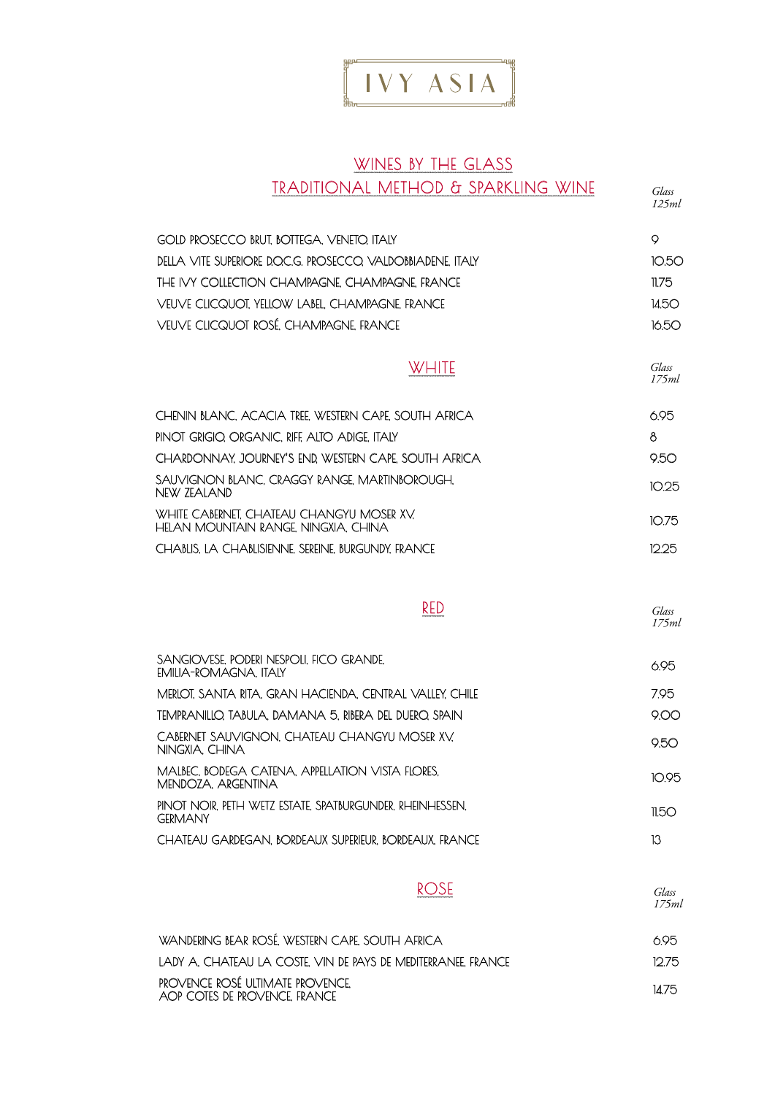

#### WINES BY THE GLASS TRADITIONAL METHOD & SPARKLING WINE

*Glass 125ml*

*Glass 175ml*

| GOLD PROSECCO BRUT, BOTTEGA, VENETO, ITALY                |       |
|-----------------------------------------------------------|-------|
| DELLA VITE SUPERIORE DOCG. PROSECCO, VALDOBBIADENE, ITALY | 10.50 |
| THE IVY COLLECTION CHAMPAGNE. CHAMPAGNE, FRANCE           | 11.75 |
| VEUVE CLICQUOT, YELLOW LABEL, CHAMPAGNE. FRANCE           | 145O  |
| VEUVE CLICQUOT ROSÉ, CHAMPAGNE, FRANCE                    | 1650  |

| <b>WHITE</b> |
|--------------|
|--------------|

| CHENIN BLANC, ACACIA TREE, WESTERN CAPE, SOUTH AFRICA                             | 695   |
|-----------------------------------------------------------------------------------|-------|
| PINOT GRIGIO. ORGANIC. RIFE ALTO ADIGE. ITALY                                     | 8     |
| CHARDONNAY. JOURNEY'S END. WESTERN CAPE. SOUTH AFRICA.                            | 9.50  |
| SAUVIGNON BLANC. CRAGGY RANGE. MARTINBOROUGH.<br>NFW 7FAI AND.                    | 10.25 |
| WHITE CABERNET. CHATEAU CHANGYU MOSER XV.<br>HELAN MOUNTAIN RANGE. NINGXIA, CHINA | 10.75 |
| CHABLIS, LA CHABLISIENNE, SEREINE, BURGUNDY, FRANCE                               | 1225. |

| ٠<br>. . | w |  |
|----------|---|--|
|          |   |  |

*Glass 175ml*

| SANGIOVESE, PODERI NESPOLI, FICO GRANDE,<br>EMILIA-ROMAGNA, ITALY           | 6.95  |
|-----------------------------------------------------------------------------|-------|
| MERLOT, SANTA RITA, GRAN HACIENDA, CENTRAL VALLEY, CHILE                    | 7.95  |
| TEMPRANILLO. TABULA. DAMANA 5. RIBERA DEL DUERO. SPAIN                      | റററ   |
| CABERNET SAUVIGNON, CHATEAU CHANGYU MOSER XV,<br>NINGXIA. CHINA             | 950   |
| MALBEC, BODEGA CATENA, APPELLATION VISTA FLORES.<br>MENDOZA, ARGENTINA      | 1095  |
| PINOT NOIR. PETH WETZ ESTATE. SPATBURGUNDER. RHEINHESSEN.<br><b>GERMANY</b> | 11.50 |
| CHATEAU GARDEGAN, BORDEAUX SUPERIEUR, BORDEAUX, FRANCE                      | 13    |

ROSE

*Glass* 

| WANDERING BEAR ROSÉ. WESTERN CAPE. SOUTH AFRICA.                  | 695   |
|-------------------------------------------------------------------|-------|
| LADY A. CHATEAU LA COSTE. VIN DE PAYS DE MEDITERRANEE. FRANCE     | 1275. |
| PROVENCE ROSÉ ULTIMATE PROVENCE.<br>AOP COTES DE PROVENCE. FRANCE | 1475  |

*175ml*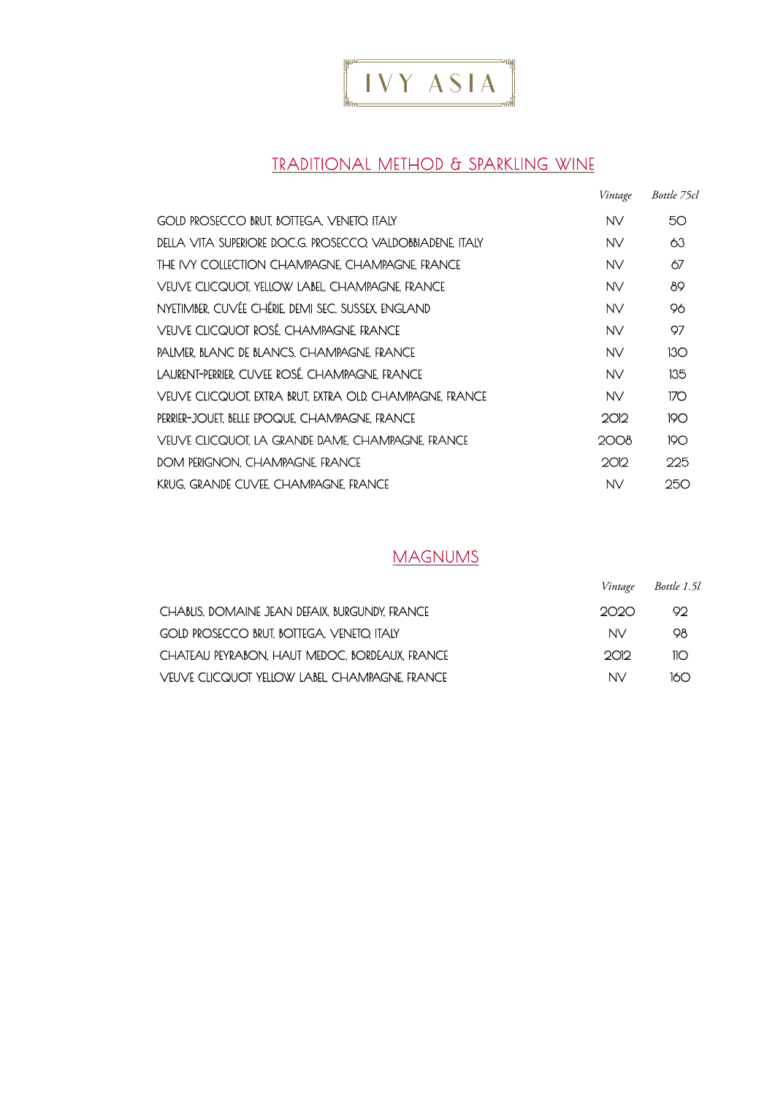

#### TRADITIONAL METHOD & SPARKLING WINE

|                                                          | Vintage | Bottle 75cl |
|----------------------------------------------------------|---------|-------------|
| GOLD PROSECCO BRUT, BOTTEGA, VENETO, ITALY               | NV.     | 50          |
| DELLA VITA SUPERIORE DOCG. PROSECCO VALDOBBIADENE. ITALY | NV      | 63          |
| THE IVY COLLECTION CHAMPAGNE. CHAMPAGNE FRANCE           | NV      | 67          |
| VEUVE CLICQUOT. YELLOW LABEL. CHAMPAGNE. FRANCE          | NV      | 89          |
| NYETIMBER. CUVÉE CHÉRIE. DEMI SEC. SUSSEX. ENGLAND       | NV      | 96          |
| VEUVE CLICQUOT ROSÉ. CHAMPAGNE. FRANCE                   | NV      | 97          |
| PALMER BLANC DE BLANCS. CHAMPAGNE. FRANCE                | NV.     | 130         |
| LAURENT-PERRIER. CUVEE ROSÉ. CHAMPAGNE. FRANCE           | NV.     | 135         |
| VEUVE CLICQUOT, EXTRA BRUT, EXTRA OLD, CHAMPAGNE, FRANCE | NV      | 170         |
| PERRIER-JOUET. BELLE EPOQUE, CHAMPAGNE, FRANCE           | 2012    | 190         |
| VEUVE CLICQUOT LA GRANDE DAME. CHAMPAGNE FRANCE          | 2008    | 190         |
| DOM PERIGNON. CHAMPAGNE FRANCE                           | 2012    | 225         |
| KRUG. GRANDE CUVEE. CHAMPAGNE. FRANCE                    | NV      | 250         |

#### MAGNUMS

*Vintage Bottle 1.5l*

| CHABLIS. DOMAINE JEAN DEFAIX. BURGUNDY. FRANCE | ാറാറ | OQ.             |
|------------------------------------------------|------|-----------------|
| GOLD PROSECCO BRUT, BOTTEGA, VENETO, ITALY     | NV.  | Q8.             |
| CHATEAU PEYRABON, HAUT MEDOC, BORDEAUX, FRANCE | ാവാ  | $\overline{10}$ |
| VEUVE CLICQUOT YELLOW LABEL. CHAMPAGNE. FRANCE | NV.  | 160             |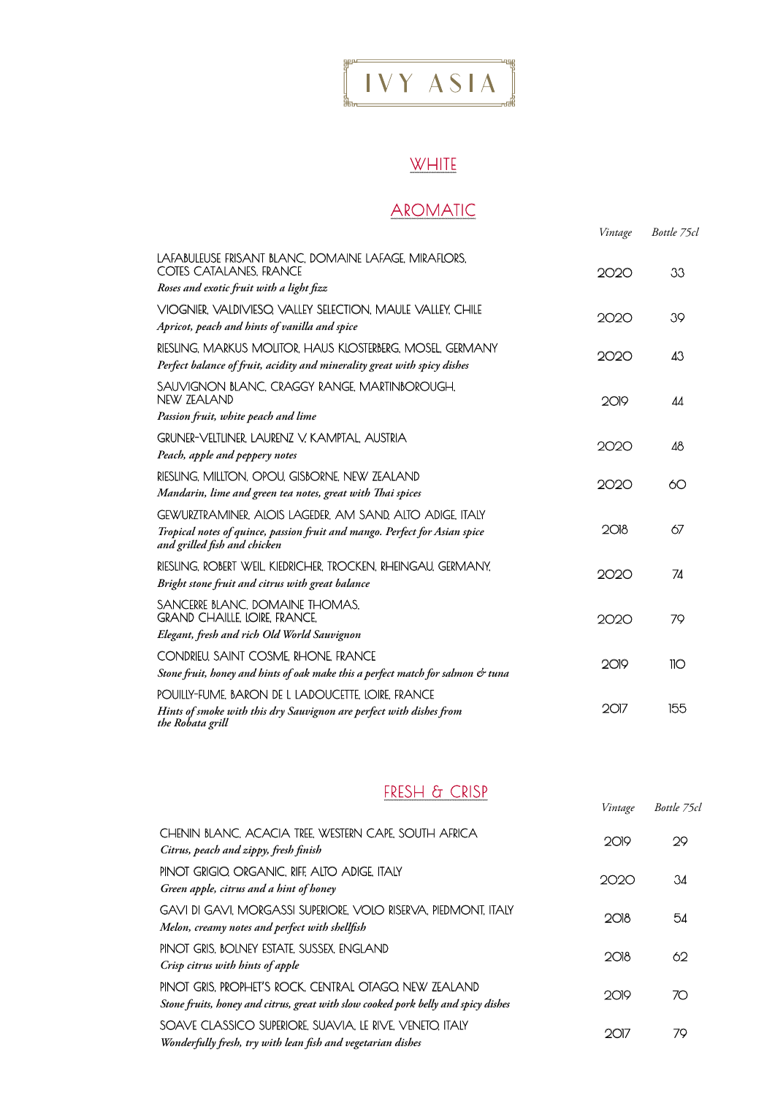## $\left[\begin{array}{ccc} 1 & VY & ASIA \end{array}\right]$

### **WHITE**

### AROMATIC

|                                                                                                                                                                         | Vintage | Bottle 75cl |
|-------------------------------------------------------------------------------------------------------------------------------------------------------------------------|---------|-------------|
| LAFABULEUSE FRISANT BLANC, DOMAINE LAFAGE, MIRAFLORS,<br>COTES CATALANES, FRANCE                                                                                        | 2020    | 33          |
| Roses and exotic fruit with a light fizz                                                                                                                                |         |             |
| VIOGNIER, VALDIVIESO, VALLEY SELECTION, MAULE VALLEY, CHILE<br>Apricot, peach and hints of vanilla and spice                                                            | 2020    | 39          |
| RIESLING, MARKUS MOLITOR, HAUS KLOSTERBERG, MOSEL, GERMANY<br>Perfect balance of fruit, acidity and minerality great with spicy dishes                                  | 2020    | 43          |
| SAUVIGNON BLANC, CRAGGY RANGE, MARTINBOROUGH,<br>NEW ZEALAND                                                                                                            | 2019    | ΔΔ          |
| Passion fruit, white peach and lime                                                                                                                                     |         |             |
| GRUNER-VELTLINER, LAURENZ V, KAMPTAL, AUSTRIA                                                                                                                           | 2020    | 48          |
| Peach, apple and peppery notes                                                                                                                                          |         |             |
| RIESLING, MILLTON, OPOU, GISBORNE, NEW ZEALAND<br>Mandarin, lime and green tea notes, great with Thai spices                                                            | 2020    | 60          |
| GEWURZTRAMINER, ALOIS LAGEDER, AM SAND, ALTO ADIGE, ITALY<br>Tropical notes of quince, passion fruit and mango. Perfect for Asian spice<br>and grilled fish and chicken | 2O18    | 67          |
| RIESLING, ROBERT WEIL, KIEDRICHER, TROCKEN, RHEINGAU, GERMANY,<br>Bright stone fruit and citrus with great balance                                                      | 2020    | 74          |
| SANCERRE BLANC, DOMAINE THOMAS,<br>GRAND CHAILLE, LOIRE, FRANCE,                                                                                                        | 2020    | 79          |
| Elegant, fresh and rich Old World Sauvignon                                                                                                                             |         |             |
| CONDRIEU, SAINT COSME, RHONE, FRANCE<br>Stone fruit, honey and hints of oak make this a perfect match for salmon & tuna                                                 | 2019    | 110         |
| POUILLY-FUME, BARON DE L LADOUCETTE, LOIRE, FRANCE                                                                                                                      |         |             |
| Hints of smoke with this dry Sauvignon are perfect with dishes from<br>the Robata grill                                                                                 | $2$ O17 | 155         |

#### FRESH & CRISP

|                                                                                                                                              | Vintage | Bottle 75cl |
|----------------------------------------------------------------------------------------------------------------------------------------------|---------|-------------|
| CHENIN BLANC, ACACIA TREE, WESTERN CAPE, SOUTH AFRICA<br>Citrus, peach and zippy, fresh finish                                               | 2019    | 29          |
| PINOT GRIGIO, ORGANIC, RIFF, ALTO ADIGE, ITALY<br>Green apple, citrus and a hint of honey                                                    | 2020    | 34          |
| GAVI DI GAVI, MORGASSI SUPERIORE, VOLO RISERVA, PIEDMONT, ITALY<br>Melon, creamy notes and perfect with shellfish                            | 2018    | 54          |
| PINOT GRIS. BOLNEY ESTATE. SUSSEX. ENGLAND<br>Crisp citrus with hints of apple                                                               | 2018    | 62          |
| PINOT GRIS, PROPHET'S ROCK, CENTRAL OTAGO, NEW ZEALAND<br>Stone fruits, honey and citrus, great with slow cooked pork belly and spicy dishes | 2019    | 70          |
| SOAVE CLASSICO SUPERIORE, SUAVIA, LE RIVE, VENETO, ITALY<br>Wonderfully fresh, try with lean fish and vegetarian dishes                      | 2017    | 79          |
|                                                                                                                                              |         |             |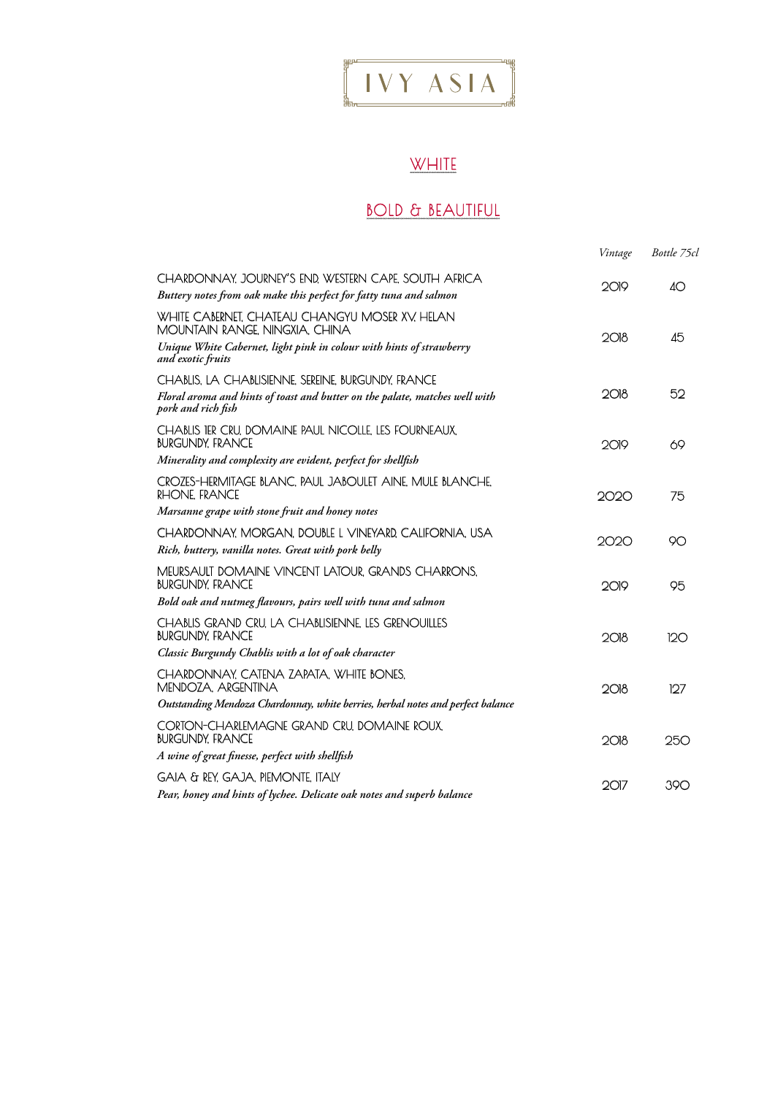# $\begin{bmatrix} 1 & v & Y & ASIA \end{bmatrix}$

## **WHITE**

### **BOLD & BEAUTIFUL**

|                                                                                                                                                           | Vintage  | Bottle 75cl |
|-----------------------------------------------------------------------------------------------------------------------------------------------------------|----------|-------------|
| CHARDONNAY, JOURNEY'S END, WESTERN CAPE, SOUTH AFRICA<br>Buttery notes from oak make this perfect for fatty tuna and salmon                               | 2019     | $4\circ$    |
| WHITE CABERNET, CHATEAU CHANGYU MOSER XV, HELAN<br>MOUNTAIN RANGE, NINGXIA, CHINA<br>Unique White Cabernet, light pink in colour with hints of strawberry | 2018     | 45          |
| and exotic fruits                                                                                                                                         |          |             |
| CHABLIS, LA CHABLISIENNE, SEREINE, BURGUNDY, FRANCE<br>Floral aroma and hints of toast and butter on the palate, matches well with<br>pork and rich fish  | 2018     | 52          |
| CHABLIS TER CRU, DOMAINE PAUL NICOLLE, LES FOURNEAUX,<br><b>BURGUNDY, FRANCE</b>                                                                          | $2O$ $P$ | 69          |
| Minerality and complexity are evident, perfect for shellfish                                                                                              |          |             |
| CROZES-HERMITAGE BLANC, PAUL JABOULET AINE, MULE BLANCHE,<br>RHONE, FRANCE                                                                                | 2020     | 75          |
| Marsanne grape with stone fruit and honey notes                                                                                                           |          |             |
| CHARDONNAY, MORGAN, DOUBLE L VINEYARD, CALIFORNIA, USA<br>Rich, buttery, vanilla notes. Great with pork belly                                             | 2020     | 90          |
| MEURSAULT DOMAINE VINCENT LATOUR, GRANDS CHARRONS,<br><b>BURGUNDY, FRANCE</b>                                                                             | 2019     | 95          |
| Bold oak and nutmeg flavours, pairs well with tuna and salmon                                                                                             |          |             |
| CHABLIS GRAND CRU, LA CHABLISIENNE, LES GRENOUILLES<br><b>BURGUNDY, FRANCE</b>                                                                            | 2018     | 120         |
| Classic Burgundy Chablis with a lot of oak character                                                                                                      |          |             |
| CHARDONNAY, CATENA ZAPATA, WHITE BONES,<br>MENDOZA, ARGENTINA                                                                                             | 2018     | 127         |
| Outstanding Mendoza Chardonnay, white berries, herbal notes and perfect balance                                                                           |          |             |
| CORTON-CHARLEMAGNE GRAND CRU, DOMAINE ROUX,<br><b>BURGUNDY, FRANCE</b>                                                                                    | 2018     | 250         |
| A wine of great finesse, perfect with shellfish                                                                                                           |          |             |
| GAIA & REY, GAJA, PIEMONTE, ITALY<br>Pear, honey and hints of lychee. Delicate oak notes and superb balance                                               | 2017     | 390         |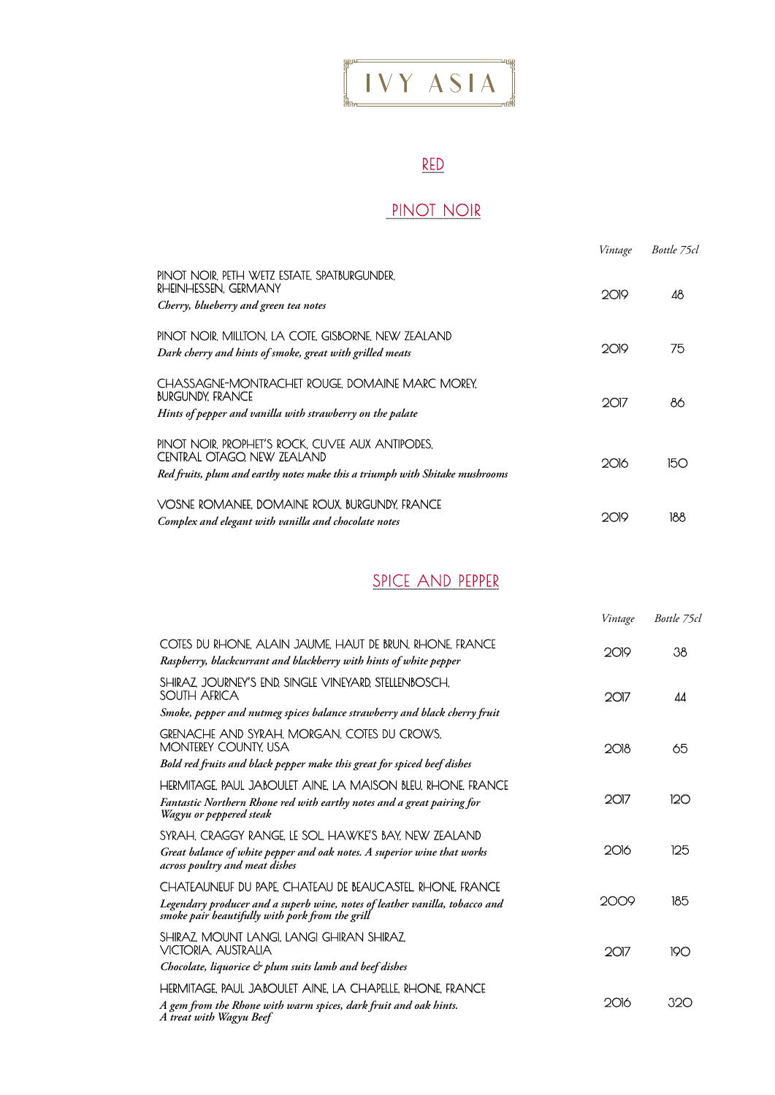## $\left[\begin{array}{ccc} 1 & VY & ASIA \end{array}\right]$

#### RED

### PINOT NOIR

|                                                                                                                                                                | Vintage | Bottle 75cl |
|----------------------------------------------------------------------------------------------------------------------------------------------------------------|---------|-------------|
| PINOT NOIR, PETH WETZ ESTATE, SPATBURGUNDER,<br>RHEINHESSEN, GERMANY<br>Cherry, blueberry and green tea notes                                                  | 2019    | 48          |
| PINOT NOIR. MILLTON. LA COTE GISBORNE NEW ZEALAND<br>Dark cherry and hints of smoke, great with grilled meats                                                  | 2019    | 75          |
| CHASSAGNE-MONTRACHET ROUGE DOMAINE MARC MOREY.<br><b>BURGUNDY, FRANCE</b><br>Hints of pepper and vanilla with strawberry on the palate                         | 2017    | 86          |
| PINOT NOIR. PROPHET'S ROCK, CUVEE AUX ANTIPODES.<br>CENTRAL OTAGO. NEW ZEALAND<br>Red fruits, plum and earthy notes make this a triumph with Shitake mushrooms | 2016    | 150         |
| VOSNE ROMANEE. DOMAINE ROUX. BURGUNDY, FRANCE<br>Complex and elegant with vanilla and chocolate notes                                                          | ാവാ     | 188         |

#### SPICE AND PEPPER

|                                                                                                                                                                                             | Vintage | Bottle 75cl |
|---------------------------------------------------------------------------------------------------------------------------------------------------------------------------------------------|---------|-------------|
| COTES DU RHONE, ALAIN JAUME, HAUT DE BRUN, RHONE, FRANCE<br>Raspberry, blackcurrant and blackberry with hints of white pepper                                                               | 2019    | 38          |
| SHIRAZ, JOURNEY'S END, SINGLE VINEYARD, STELLENBOSCH,<br>SOUTH AFRICA                                                                                                                       | 2017    | ΔΔ          |
| Smoke, pepper and nutmeg spices balance strawberry and black cherry fruit                                                                                                                   |         |             |
| GRENACHE AND SYRAH, MORGAN, COTES DU CROWS,<br>MONTEREY COUNTY, USA                                                                                                                         | 2018    | 65          |
| Bold red fruits and black pepper make this great for spiced beef dishes                                                                                                                     |         |             |
| HERMITAGE. PAUL JABOULET AINE. LA MAISON BLEU, RHONE. FRANCE<br>Fantastic Northern Rhone red with earthy notes and a great pairing for<br>Wagyu or peppered steak                           | 2017    | 120         |
| SYRAH, CRAGGY RANGE. LE SOL, HAWKE'S BAY, NEW ZEALAND<br>Great balance of white pepper and oak notes. A superior wine that works<br>across poultry and meat dishes                          | 2016    | 125         |
| CHATEAUNEUF DU PAPE, CHATEAU DE BEAUCASTEL, RHONE, FRANCE<br>Legendary producer and a superb wine, notes of leather vanilla, tobacco and<br>smoke pair beautifully with pork from the grill | 2009    | 185         |
| SHIRAZ, MOUNT LANGI, LANGI GHIRAN SHIRAZ,<br>VICTORIA, AUSTRALIA                                                                                                                            | 2017    | 190         |
| Chocolate, liquorice & plum suits lamb and beef dishes                                                                                                                                      |         |             |
| HERMITAGE. PAUL JABOULET AINE LA CHAPELLE RHONE FRANCE                                                                                                                                      |         |             |
| A gem from the Rhone with warm spices, dark fruit and oak hints.<br>A treat with Wagyu Beef                                                                                                 | 2016    | 320         |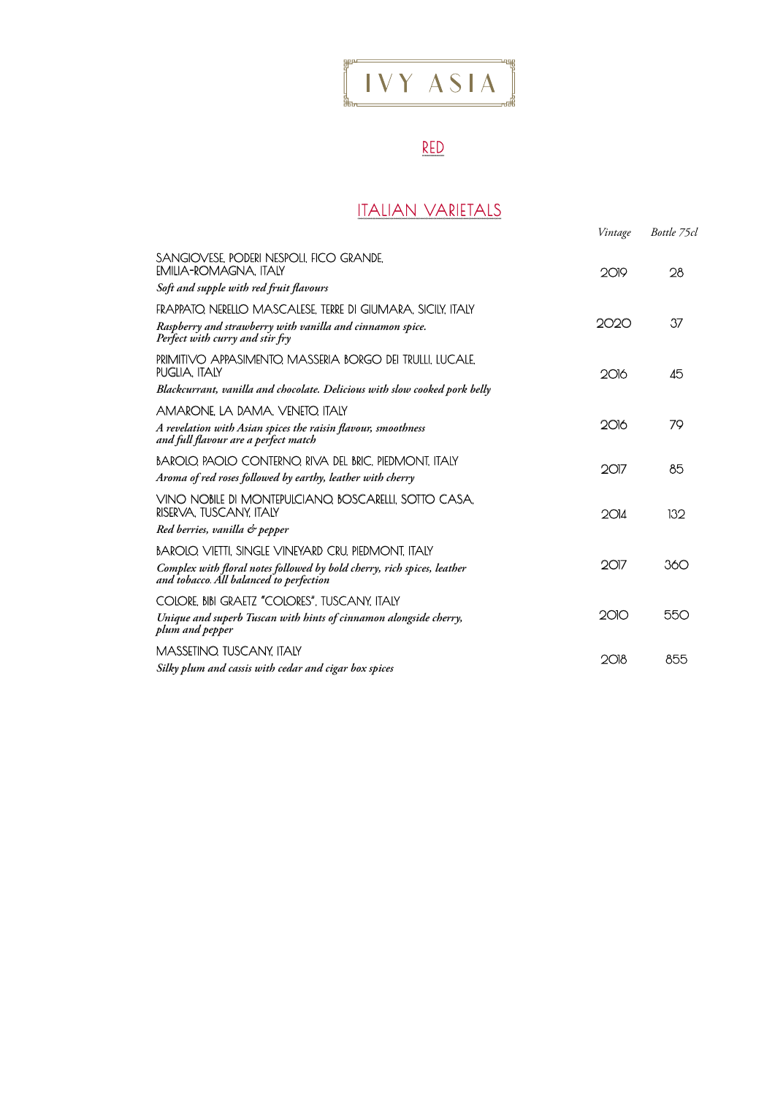# $\left[\begin{array}{ccc} \begin{array}{ccc} \text{max} & \text{max} \\ \text{max} & \text{max} \\ \text{max} & \text{max} \end{array}\end{array}\right]$

### RED

#### ITALIAN VARIETALS

|                                                                                                                    | Vintage | Bottle 75cl |
|--------------------------------------------------------------------------------------------------------------------|---------|-------------|
| SANGIOVESE, PODERI NESPOLI, FICO GRANDE,<br><b>EMILIA-ROMAGNA, ITALY</b>                                           | 2019    | 28          |
| Soft and supple with red fruit flavours                                                                            |         |             |
| FRAPPATO. NERELLO MASCALESE. TERRE DI GIUMARA, SICILY, ITALY                                                       |         |             |
| Raspberry and strawberry with vanilla and cinnamon spice.<br>Perfect with curry and stir fry                       | 2020    | 37          |
| PRIMITIVO APPASIMENTO. MASSERIA BORGO DEI TRULLI. LUCALE.<br>PUGLIA. ITALY                                         | 2016    | 45          |
| Blackcurrant, vanilla and chocolate. Delicious with slow cooked pork belly                                         |         |             |
| AMARONE. LA DAMA, VENETO, ITALY                                                                                    |         |             |
| A revelation with Asian spices the raisin flavour, smoothness<br>and full flavour are a perfect match              | 2016    | 79          |
| BAROLO, PAOLO CONTERNO, RIVA DEL BRIC, PIEDMONT, ITALY                                                             | $2$ O17 | 85          |
| Aroma of red roses followed by earthy, leather with cherry                                                         |         |             |
| VINO NOBILE DI MONTEPULCIANO, BOSCARELLI, SOTTO CASA,<br>RISERVA, TUSCANY, ITALY                                   | 2014    | 132         |
| Red berries, vanilla & pepper                                                                                      |         |             |
| BAROLO. VIETTI. SINGLE VINEYARD CRU. PIEDMONT. ITALY                                                               |         |             |
| Complex with floral notes followed by bold cherry, rich spices, leather<br>and tobacco. All balanced to perfection | 2017    | 360         |
| COLORE, BIBI GRAETZ "COLORES", TUSCANY, ITALY                                                                      |         |             |
| Unique and superb Tuscan with hints of cinnamon alongside cherry,<br>plum and pepper                               | 2010    | 550         |
| MASSETINO. TUSCANY. ITALY                                                                                          |         | 855         |
| Silky plum and cassis with cedar and cigar box spices                                                              | 2018    |             |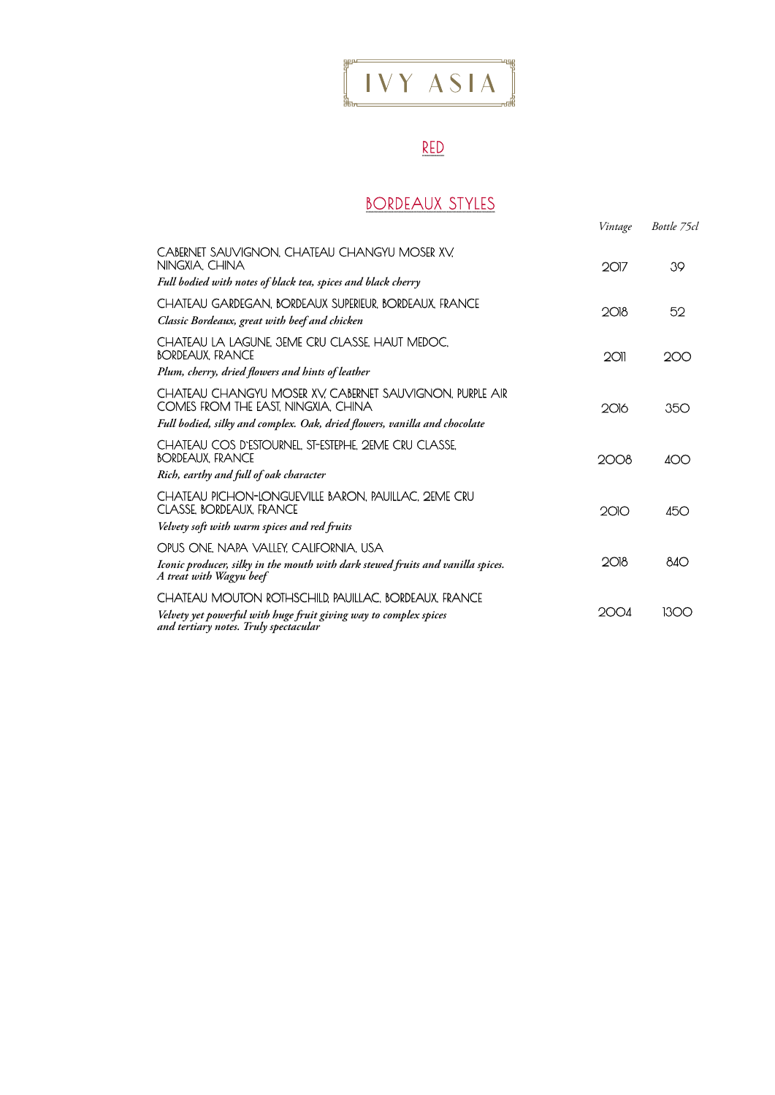# $\frac{1}{2}$   $\frac{1}{2}$   $\frac{1}{2}$   $\frac{1}{2}$   $\frac{1}{2}$   $\frac{1}{2}$   $\frac{1}{2}$   $\frac{1}{2}$   $\frac{1}{2}$   $\frac{1}{2}$   $\frac{1}{2}$   $\frac{1}{2}$   $\frac{1}{2}$   $\frac{1}{2}$   $\frac{1}{2}$   $\frac{1}{2}$   $\frac{1}{2}$   $\frac{1}{2}$   $\frac{1}{2}$   $\frac{1}{2}$   $\frac{1}{2}$   $\frac{1}{2}$

### RED

#### BORDEAUX STYLES

|                                                                                                            | Vintage    | Bottle 75cl |
|------------------------------------------------------------------------------------------------------------|------------|-------------|
| CABERNET SAUVIGNON, CHATEAU CHANGYU MOSER XV.<br>NINGXIA. CHINA                                            | $2$ Ol $7$ | 39          |
| Full bodied with notes of black tea, spices and black cherry                                               |            |             |
| CHATEAU GARDEGAN. BORDEAUX SUPERIEUR. BORDEAUX. FRANCE<br>Classic Bordeaux, great with beef and chicken    | 2O18       | 52          |
| CHATEAU LA LAGUNE, 3EME CRU CLASSE, HAUT MEDOC,<br>BORDEAUX. FRANCE                                        | 2011       | 200         |
| Plum, cherry, dried flowers and hints of leather                                                           |            |             |
| CHATEAU CHANGYU MOSER XV. CABERNET SAUVIGNON, PURPLE AIR<br>COMES FROM THE EAST, NINGXIA, CHINA            | 2016       | 350         |
| Full bodied, silky and complex. Oak, dried flowers, vanilla and chocolate                                  |            |             |
| CHATEAU COS D'ESTOURNEL, ST-ESTEPHE, 2EME CRU CLASSE,<br>BORDEAUX. FRANCE                                  | 2008       | 400         |
| Rich, earthy and full of oak character                                                                     |            |             |
| CHATEAU PICHON-LONGUEVILLE BARON. PAUILLAC. 2EME CRU<br>CLASSE, BORDEAUX, FRANCE                           | 2010       | 450         |
| Velvety soft with warm spices and red fruits                                                               |            |             |
| OPUS ONE, NAPA VALLEY, CALIFORNIA, USA                                                                     |            |             |
| Iconic producer, silky in the mouth with dark stewed fruits and vanilla spices.<br>A treat with Wagyu beef | 2018       | 840         |
| CHATEAU MOUTON ROTHSCHILD, PAUILLAC, BORDEAUX, FRANCE                                                      | 2004       | 1300        |
| Velvety yet powerful with huge fruit giving way to complex spices<br>and tertiary notes. Truly spectacular |            |             |
|                                                                                                            |            |             |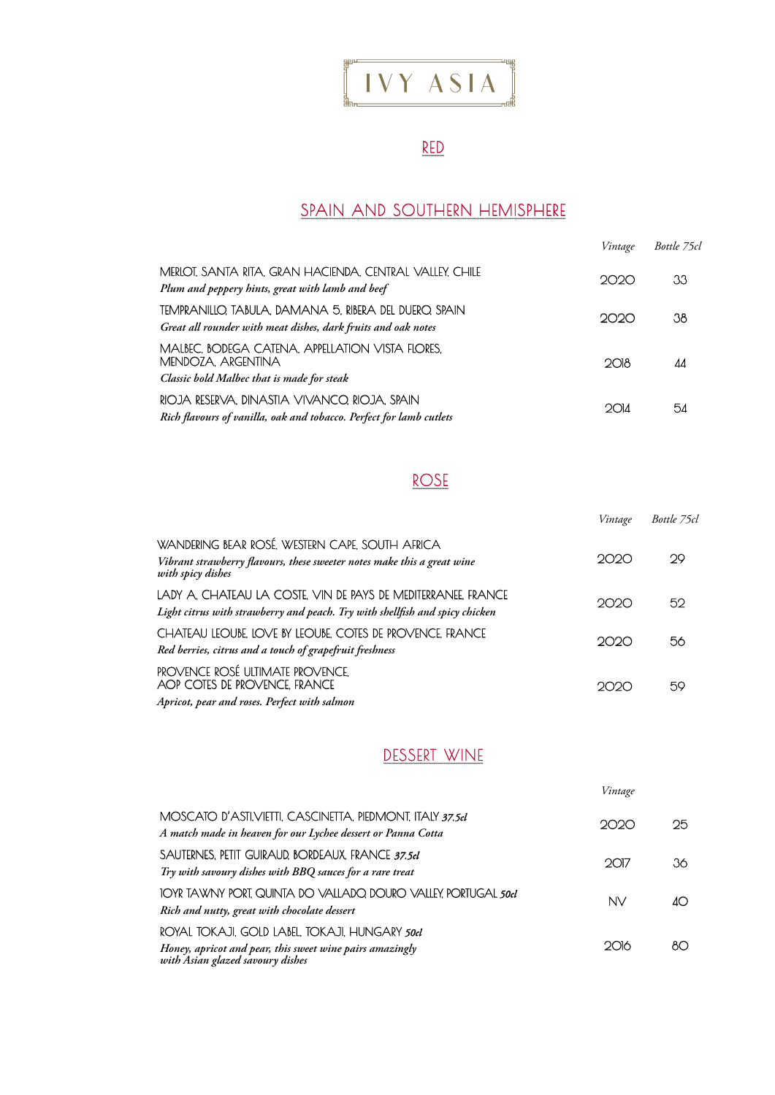

### RED

#### SPAIN AND SOUTHERN HEMISPHERE

|                                                                                                                        | Vintage | Bottle 75cl |
|------------------------------------------------------------------------------------------------------------------------|---------|-------------|
| MERLOT, SANTA RITA, GRAN HACIENDA, CENTRAL VALLEY, CHILE<br>Plum and peppery hints, great with lamb and beef           | 2020    | 33          |
| TEMPRANILLO TABULA. DAMANA 5. RIBERA DEL DUERO. SPAIN<br>Great all rounder with meat dishes, dark fruits and oak notes | 2020    | 38          |
| MALBEC, BODEGA CATENA, APPELLATION VISTA FLORES.<br>MENDOZA, ARGENTINA<br>Classic bold Malbec that is made for steak   | 2018    | 44          |
| RIOJA RESERVA, DINASTIA VIVANCO, RIOJA, SPAIN<br>Rich flavours of vanilla, oak and tobacco. Perfect for lamb cutlets   | 2014    | 54          |

#### ROSE

|                                                                                                                                                 | Vintage | Bottle 75cl |
|-------------------------------------------------------------------------------------------------------------------------------------------------|---------|-------------|
| WANDERING BEAR ROSÉ, WESTERN CAPE, SOUTH AFRICA<br>Vibrant strawberry flavours, these sweeter notes make this a great wine<br>with spicy dishes | 2020    | 29          |
| LADY A, CHATEAU LA COSTE, VIN DE PAYS DE MEDITERRANEE, FRANCE<br>Light citrus with strawberry and peach. Try with shellfish and spicy chicken   | 2020    | 52          |
| CHATEAU LEOUBE, LOVE BY LEOUBE, COTES DE PROVENCE, FRANCE<br>Red berries, citrus and a touch of grapefruit freshness                            | 2020    | 56          |
| PROVENCE ROSÉ ULTIMATE PROVENCE.<br>AOP COTES DE PROVENCE. FRANCE<br>Apricot, pear and roses. Perfect with salmon                               |         | 59          |

#### DESSERT WINE

|                                                                                                                                                | Vintage |     |
|------------------------------------------------------------------------------------------------------------------------------------------------|---------|-----|
| MOSCATO D'ASTI,VIETTI, CASCINETTA, PIEDMONT, ITALY 37.5cl<br>A match made in heaven for our Lychee dessert or Panna Cotta                      | クロスコ    | 25. |
| SAUTERNES. PETIT GUIRAUD. BORDEAUX. FRANCE 37.5cl<br>Try with savoury dishes with BBQ sauces for a rare treat                                  | 2017    | 36. |
| IOYR TAWNY PORT. QUINTA DO VALLADO, DOURO VALLEY, PORTUGAL <i>soci</i><br>Rich and nutty, great with chocolate dessert                         | NV      |     |
| ROYAL TOKAJI, GOLD LABEL, TOKAJI, HUNGARY 50cl<br>Honey, apricot and pear, this sweet wine pairs amazingly<br>with Asian glazed savoury dishes | ാവ്റ    | ו א |